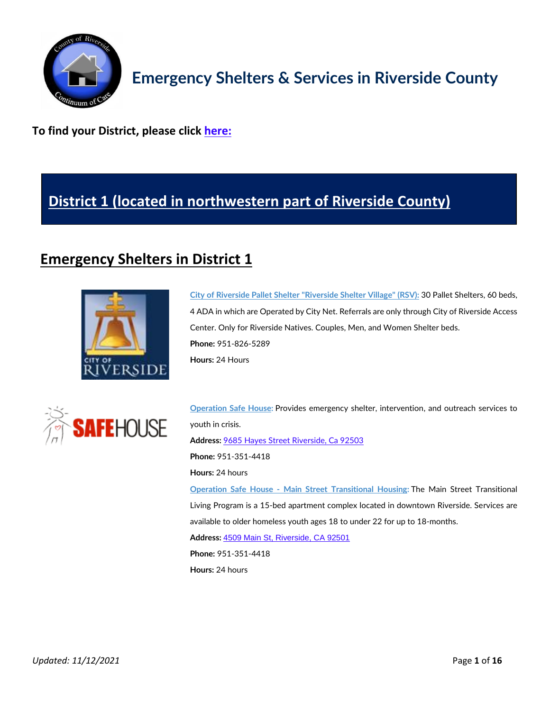

**To find your District, please click [here:](https://www.rctlma.org/Portals/0/districts/content/documents/Supervisorial%20_Districts_Feb2019.pdf)**

## **[District 1 \(located in northwestern part of Riverside County\)](https://rivcodistrict1.org/)**

## **Emergency Shelters in District 1**





**City of Riverside Pallet Shelter ["Riverside](https://www.riversideca.gov/homelesssolutions/what-we%E2%80%99re-doing/riverside-village-shelter) Shelter Village" (RSV):** 30 Pallet Shelters, 60 beds, 4 ADA in which are Operated by City Net. Referrals are only through City of Riverside Access Center. Only for Riverside Natives. Couples, Men, and Women Shelter beds. **Phone:** 951-826-5289 **Hours:** 24 Hours

**[Operation](https://operationsafehouse.org/) Safe House:** Provides emergency shelter, intervention, and outreach services to youth in crisis. **Address:** [9685 Hayes Street Riverside, Ca 92503](https://goo.gl/maps/4ppkvQvNa1PxArDR8) **Phone:** 951-351-4418 **Hours:** 24 hours **Operation Safe House - Main Street [Transitional](https://operationsafehouse.org/transitional-living/riverside-tlp/) Housing:** The Main Street Transitional Living Program is a 15-bed apartment complex located in downtown Riverside. Services are available to older homeless youth ages 18 to under 22 for up to 18-months. **Address:** [4509 Main St, Riverside, CA 92501](https://goo.gl/maps/UhedrqVaXh8rk1n77) **Phone:** 951-351-4418 **Hours:** 24 hours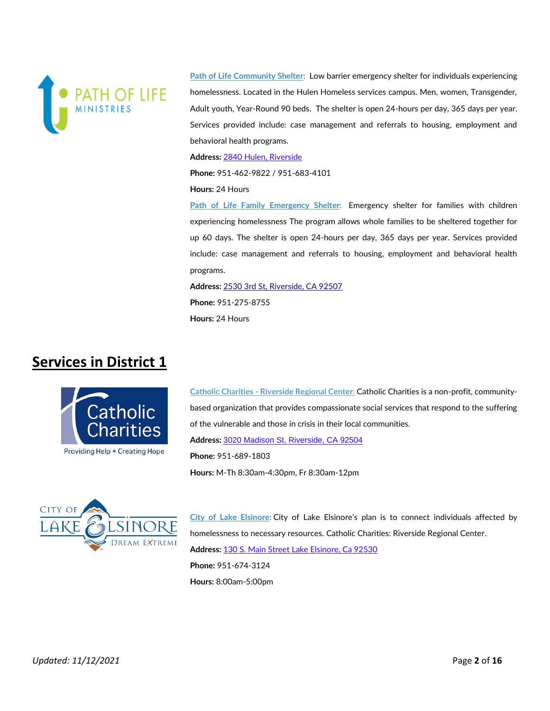

**Path of Life [Community](https://www.thepathoflife.com/) Shelter:** Low barrier emergency shelter for individuals experiencing homelessness. Located in the Hulen Homeless services campus. Men, women, Transgender, Adult youth, Year-Round 90 beds. The shelter is open 24-hours per day, 365 days per year. Services provided include: case management and referrals to housing, employment and behavioral health programs.

**Address:** [2840 Hulen, Riverside](https://goo.gl/maps/oRN8HmeDi6Eh2TxN8)

**Phone:** 951-462-9822 / 951-683-4101

#### **Hours:** 24 Hours

**Path of Life Family [Emergency](https://www.thepathoflife.com/copy-of-programs) Shelter:** Emergency shelter for families with children experiencing homelessness The program allows whole families to be sheltered together for up 60 days. The shelter is open 24-hours per day, 365 days per year. Services provided include: case management and referrals to housing, employment and behavioral health programs.

**Address:** [2530 3rd St, Riverside, CA 92507](https://goo.gl/maps/goTPxnYmLTr6wJqH9) **Phone:** 951-275-8755 **Hours:** 24 Hours

#### **Services in District 1**



**Catholic Charities - [Riverside Regional Center](https://ccsbriv.org/)**: Catholic Charities is a non-profit, communitybased organization that provides compassionate social services that respond to the suffering of the vulnerable and those in crisis in their local communities. **Address:** [3020 Madison St, Riverside, CA 92504](https://goo.gl/maps/ch69ZM4GtqpUci3L7) **Phone:** 951-689-1803 **Hours:** M-Th 8:30am-4:30pm, Fr 8:30am-12pm



**City of Lake [Elsinore:](http://www.lake-elsinore.org/)** City of Lake Elsinore's plan is to connect individuals affected by homelessness to necessary resources. Catholic Charities: Riverside Regional Center. **Address:** [130 S. Main Street Lake Elsinore, Ca 92530](https://goo.gl/maps/9gLsqwGzuKqG4fA9A) **Phone:** 951-674-3124 **Hours:** 8:00am-5:00pm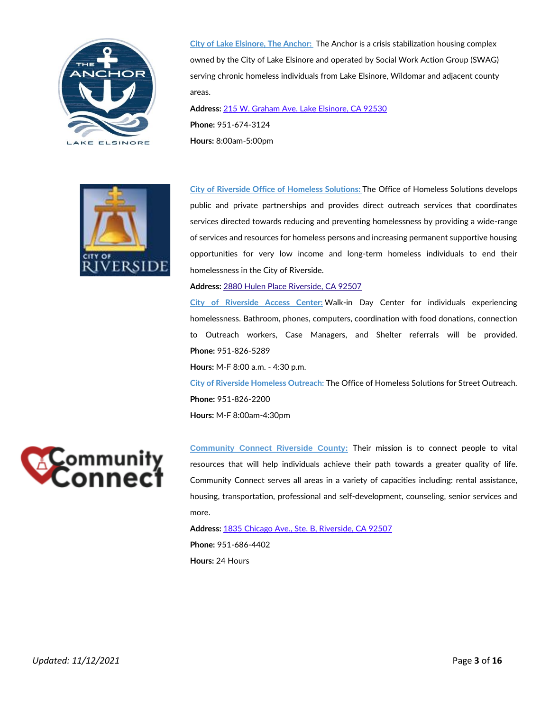



**City of Lake [Elsinore,](http://www.lake-elsinore.org/residents/the-anchor) The Anchor:** The Anchor is a crisis stabilization housing complex owned by the City of Lake Elsinore and operated by Social Work Action Group (SWAG) serving chronic homeless individuals from Lake Elsinore, Wildomar and adjacent county areas.

**Address:** [215 W. Graham Ave. Lake Elsinore, CA 92530](https://goo.gl/maps/hxSsgzFn5zqemWpY8) **Phone:** 951-674-3124 **Hours:** 8:00am-5:00pm

**City of Riverside Office of [Homeless](https://www.riversideca.gov/homelesssolutions/) Solutions:** The Office of Homeless Solutions develops public and private partnerships and provides direct outreach services that coordinates services directed towards reducing and preventing homelessness by providing a wide-range of services and resources for homeless persons and increasing permanent supportive housing opportunities for very low income and long-term homeless individuals to end their homelessness in the City of Riverside.

#### **Address:** 2880 Hulen Place [Riverside,](https://goo.gl/maps/PC8HhARgVNEK3bQe8) CA 92507

**City of [Riverside](https://www.riversideca.gov/homelesssolutions/contact) Access Center:** Walk-in Day Center for individuals experiencing homelessness. Bathroom, phones, computers, coordination with food donations, connection to Outreach workers, Case Managers, and Shelter referrals will be provided. **Phone:** 951-826-5289

**Hours:** M-F 8:00 a.m. - 4:30 p.m.

**City of Riverside Homeless [Outreach:](https://www.riversideca.gov/homelesssolutions/contact)** The Office of Homeless Solutions for Street Outreach. **Phone:** 951-826-2200 **Hours:** M-F 8:00am-4:30pm



**[Community Connect Riverside County:](https://connectriverside.org/)** Their mission is to connect people to vital resources that will help individuals achieve their path towards a greater quality of life. Community Connect serves all areas in a variety of capacities including: rental assistance, housing, transportation, professional and self-development, counseling, senior services and more.

**Address:** [1835 Chicago Ave., Ste. B, Riverside, CA 92507](https://goo.gl/maps/hYfYQusBTxXfiUg27) **Phone:** [951-686-4402](tel:(951)%20686-4402) **Hours:** 24 Hours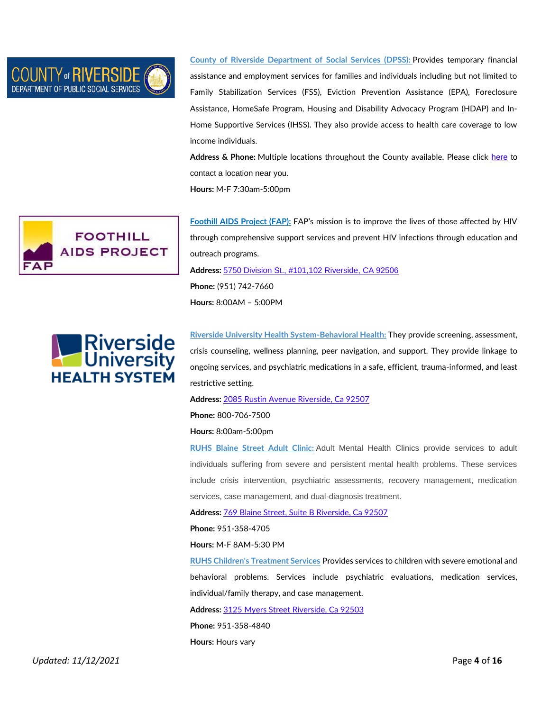

**County of Riverside [Department](http://dpss.co.riverside.ca.us/index) of Social Services (DPSS):** Provides temporary financial assistance and employment services for families and individuals including but not limited to Family Stabilization Services (FSS), Eviction Prevention Assistance (EPA), Foreclosure Assistance, HomeSafe Program, Housing and Disability Advocacy Program (HDAP) and In-Home Supportive Services (IHSS). They also provide access to health care coverage to low income individuals.

**Address & Phone:** Multiple locations throughout the County available. Please click [here](http://dpss.co.riverside.ca.us/office-locations) to contact a location near you. **Hours:** M-F 7:30am-5:00pm

**FOOTHILL AIDS PROJECT** 

**[Foothill AIDS Project \(FAP\):](https://fapinfo.org/)** FAP's mission is to improve the lives of those affected by HIV through comprehensive support services and prevent HIV infections through education and outreach programs. **Address:** [5750 Division St., #101,102 Riverside, CA 92506](https://goo.gl/maps/smNqdHuXM26KXw7m8) **Phone:** (951) 742-7660 **Hours:** 8:00AM – 5:00PM

**Riverside University Health [System-Behavioral](https://www.ruhealth.org/index.php/) Health:** They provide screening, assessment, crisis counseling, wellness planning, peer navigation, and support. They provide linkage to ongoing services, and psychiatric medications in a safe, efficient, trauma-informed, and least restrictive setting.

**Address:** [2085 Rustin Avenue Riverside, Ca 92507](https://goo.gl/maps/1A4UB8gK3xp9ULw68)

**Phone:** 800-706-7500

**Hours:** 8:00am-5:00pm

**RUHS [Blaine](https://www.rcdmh.org/Adult-services) Street Adult Clinic:** Adult Mental Health Clinics provide services to adult individuals suffering from severe and persistent mental health problems. These services include crisis intervention, psychiatric assessments, recovery management, medication services, case management, and dual-diagnosis treatment.

**Address:** [769 Blaine Street, Suite B Riverside, Ca 92507](https://goo.gl/maps/SBpjZhGjKwGFBcy68)

**Phone:** 951-358-4705

**Hours:** M-F 8AM-5:30 PM

**RUHS Children's [Treatment](https://www.rcdmh.org/ChildrenServices) Services** Provides services to children with severe emotional and behavioral problems. Services include psychiatric evaluations, medication services, individual/family therapy, and case management.

**Address:** [3125 Myers Street Riverside, Ca 92503](https://goo.gl/maps/veZm43JHiNhg7cUt7) **Phone:** 951-358-4840 **Hours:** Hours vary

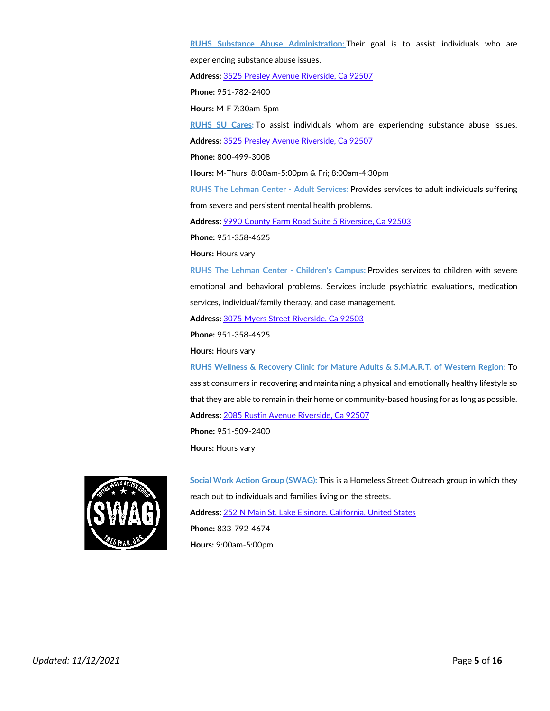**RUHS Substance Abuse [Administration:](https://www.rcdmh.org/Sapt)** Their goal is to assist individuals who are experiencing substance abuse issues.

**Address:** [3525 Presley Avenue Riverside, Ca 92507](https://goo.gl/maps/YMDamELUz61LmSYZ6)

**Phone:** 951-782-2400

**Hours:** M-F 7:30am-5pm

**RUHS SU [Cares:](https://www.rcdmh.org/SAPTP)** To assist individuals whom are experiencing substance abuse issues.

**Address:** [3525 Presley Avenue Riverside, Ca 92507](https://goo.gl/maps/YMDamELUz61LmSYZ6)

**Phone:** 800-499-3008

**Hours:** M-Thurs; 8:00am-5:00pm & Fri; 8:00am-4:30pm

**RUHS The Lehman Center - Adult [Services:](https://www.rcdmh.org/Adult-services)** Provides services to adult individuals suffering from severe and persistent mental health problems.

**Address:** [9990 County Farm Road Suite 5 Riverside, Ca 92503](https://goo.gl/maps/hfCUwDJJM5eexUha8)

**Phone:** 951-358-4625

**Hours:** Hours vary

**RUHS The Lehman Center - [Children's](https://www.rcdmh.org/ChildrenServices) Campus:** Provides services to children with severe emotional and behavioral problems. Services include psychiatric evaluations, medication services, individual/family therapy, and case management.

**Address:** [3075 Myers Street Riverside, Ca 92503](https://goo.gl/maps/KVvri2oWDKBouTvC8)

**Phone:** 951-358-4625

**Hours:** Hours vary

**RUHS Wellness & Recovery Clinic for Mature Adults & [S.M.A.R.T.](https://www.rcdmh.org/mature-adult-services) of Western Region:** To assist consumers in recovering and maintaining a physical and emotionally healthy lifestyle so that they are able to remain in their home or community-based housing for as long as possible. **Address:** [2085 Rustin Avenue Riverside, Ca 92507](https://goo.gl/maps/1A4UB8gK3xp9ULw68)

**Phone:** 951-509-2400 **Hours:** Hours vary



**Social Work Action Group [\(SWAG\):](https://www.theswag.org/home)** This is a Homeless Street Outreach group in which they reach out to individuals and families living on the streets. **Address:** [252 N Main St, Lake Elsinore, California, United States](https://goo.gl/maps/RpdkNiNeg1MbTjUa7) **Phone:** 833-792-4674 **Hours:** 9:00am-5:00pm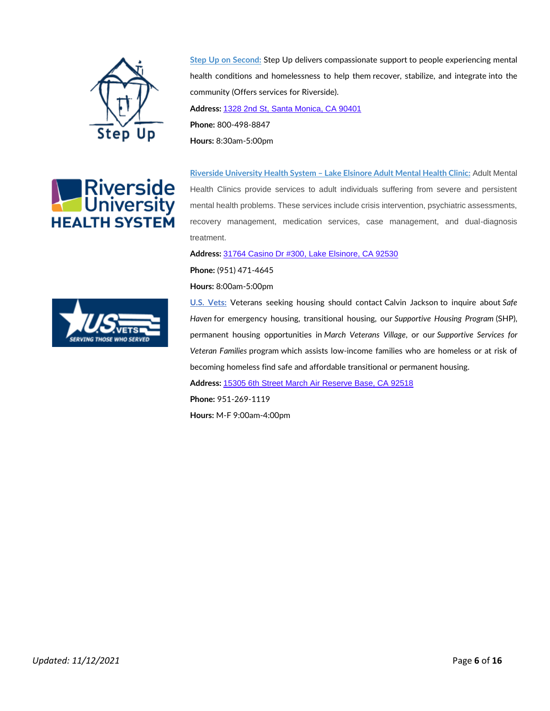



**Step Up on [Second:](https://www.stepup.org/locations/inland-empire/)** Step Up delivers compassionate support to people experiencing mental health conditions and homelessness to help them recover, stabilize, and integrate into the community (Offers services for Riverside). **Address:** [1328 2nd St, Santa Monica, CA 90401](https://goo.gl/maps/yzSqpfHYzXa5LH3t6) **Phone:** 800-498-8847 **Hours:** 8:30am-5:00pm

**Riverside [University](https://www.rcdmh.org/Adult-services) Health System – Lake Elsinore Adult Mental Health Clinic:** Adult Mental Health Clinics provide services to adult individuals suffering from severe and persistent mental health problems. These services include crisis intervention, psychiatric assessments, recovery management, medication services, case management, and dual-diagnosis treatment.

**Address:** [31764 Casino Dr #300, Lake Elsinore, CA 92530](https://goo.gl/maps/RTeQGDBgPMdwYAPc7)

**Phone:** (951) 471-4645

**Hours:** 8:00am-5:00pm

**U.S. [Vets:](https://usvets.org/locations/inland-empire/)** Veterans seeking housing should contact Calvin Jackson to inquire about *Safe Haven* for emergency housing, transitional housing, our *Supportive Housing Program* (SHP), permanent housing opportunities in *March Veterans Village*, or our *Supportive Services for Veteran Families* program which assists low-income families who are homeless or at risk of becoming homeless find safe and affordable transitional or permanent housing.

**Address:** [15305 6th Street March Air Reserve Base, CA 92518](https://g.page/USVETSIE?share)

**Phone:** 951-269-1119

**Hours:** M-F 9:00am-4:00pm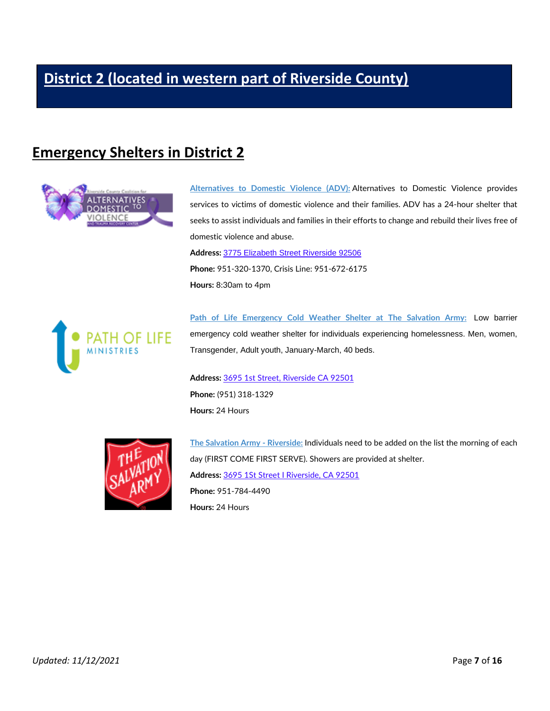# **[District 2 \(located in western part of Riverside County\)](https://rivcodistrict2.org/)**

#### **Emergency Shelters in District 2**



**[Alternatives](https://alternativestodv.org/) to Domestic Violence (ADV):** Alternatives to Domestic Violence provides services to victims of domestic violence and their families. ADV has a 24-hour shelter that seeks to assist individuals and families in their efforts to change and rebuild their lives free of domestic violence and abuse.

**Address:** [3775 Elizabeth Street Riverside 92506](https://goo.gl/maps/y1nySEe4wWFKauuw7) **Phone:** 951-320-1370, Crisis Line: 951-672-6175 **Hours:** 8:30am to 4pm



**Path of Life [Emergency](https://www.thepathoflife.com/) Cold Weather Shelter at The Salvation Army:** Low barrier emergency cold weather shelter for individuals experiencing homelessness. Men, women, Transgender, Adult youth, January-March, 40 beds.

**Address:** [3695 1st Street, Riverside CA 92501](https://goo.gl/maps/6S34NZHRf7fEAQw86) **Phone:** (951) 318-1329 **Hours:** 24 Hours



**The Salvation Army - [Riverside:](https://riverside.salvationarmy.org/)** Individuals need to be added on the list the morning of each day (FIRST COME FIRST SERVE). Showers are provided at shelter. **Address:** [3695 1St Street I Riverside, CA 92501](https://goo.gl/maps/6S34NZHRf7fEAQw86) **Phone:** 951-784-4490 **Hours:** 24 Hours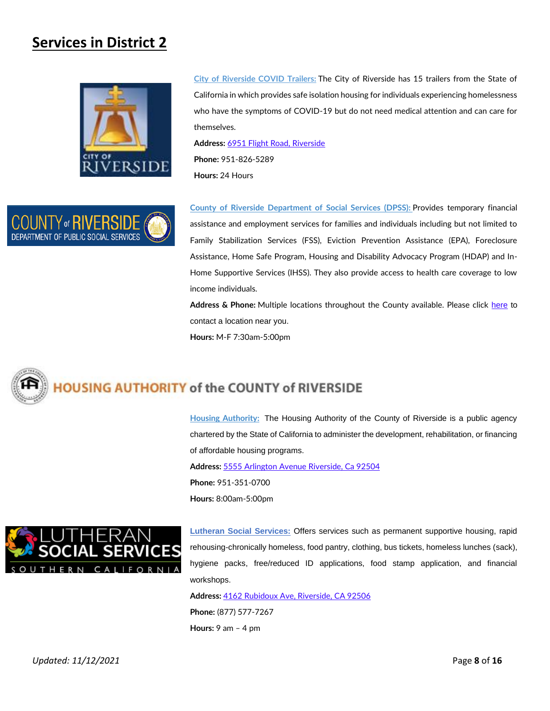## **Services in District 2**



**City of [Riverside](https://riversideca.gov/press/riverside-receives-trailers-help-homeless-who-have-symptoms-covid-19) COVID Trailers:** The City of Riverside has 15 trailers from the State of California in which provides safe isolation housing for individuals experiencing homelessness who have the symptoms of COVID-19 but do not need medical attention and can care for themselves.

**Address:** [6951 Flight Road, Riverside](https://goo.gl/maps/DiSXg68UfBavxFH76) **Phone:** 951-826-5289 **Hours:** 24 Hours



**County of Riverside [Department](http://dpss.co.riverside.ca.us/index) of Social Services (DPSS):** Provides temporary financial assistance and employment services for families and individuals including but not limited to Family Stabilization Services (FSS), Eviction Prevention Assistance (EPA), Foreclosure Assistance, Home Safe Program, Housing and Disability Advocacy Program (HDAP) and In-Home Supportive Services (IHSS). They also provide access to health care coverage to low income individuals.

**Address & Phone:** Multiple locations throughout the County available. Please click [here](http://dpss.co.riverside.ca.us/office-locations) to contact a location near you. **Hours:** M-F 7:30am-5:00pm



**Housing [Authority:](https://harivco.org/)** The Housing Authority of the County of Riverside is a public agency chartered by the State of California to administer the development, rehabilitation, or financing of affordable housing programs.

**Address:** [5555 Arlington Avenue Riverside, Ca 92504](https://goo.gl/maps/L88Ps2apbDePZE6q9) **Phone:** 951-351-0700 **Hours:** 8:00am-5:00pm



**[Lutheran Social Services:](https://www.lsssc.org/contact/)** Offers services such as permanent supportive housing, rapid rehousing-chronically homeless, food pantry, clothing, bus tickets, homeless lunches (sack), hygiene packs, free/reduced ID applications, food stamp application, and financial workshops.

**Address:** [4162 Rubidoux Ave, Riverside, CA 92506](https://goo.gl/maps/nhMmQuaVgRenJfUd6) **Phone:** [\(877\) 577-7267](tel:(877)%20577-7267) **Hours:** 9 am – 4 pm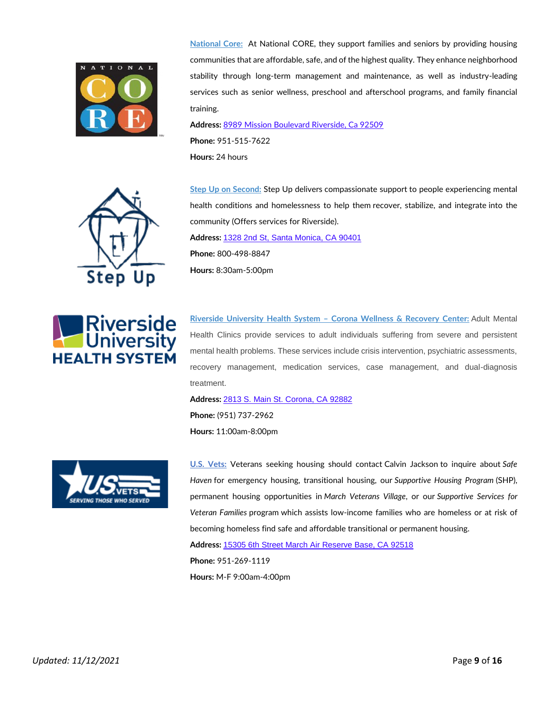

**[National](https://nationalcore.org/) Core:** At National CORE, they support families and seniors by providing housing communities that are affordable, safe, and of the highest quality. They enhance neighborhood stability through long-term management and maintenance, as well as industry-leading services such as senior wellness, preschool and afterschool programs, and family financial training.

**Address:** [8989 Mission Boulevard Riverside, Ca 92509](https://goo.gl/maps/8ctfEHhn9Ug1pz428)

**Phone:** 951-515-7622 **Hours:** 24 hours

**Hours:** 8:30am-5:00pm



**Step Up on [Second:](https://www.stepup.org/locations/inland-empire/)** Step Up delivers compassionate support to people experiencing mental health conditions and homelessness to help them recover, stabilize, and integrate into the community (Offers services for Riverside). **Address:** [1328 2nd St, Santa Monica, CA 90401](https://goo.gl/maps/yzSqpfHYzXa5LH3t6) **Phone:** 800-498-8847

**Riverside**<br>**Continuersity HEALTH SYSTEM** 

**Riverside [University](https://www.rcdmh.org/Adult-services) Health System – Corona Wellness & Recovery Center:** Adult Mental Health Clinics provide services to adult individuals suffering from severe and persistent mental health problems. These services include crisis intervention, psychiatric assessments, recovery management, medication services, case management, and dual-diagnosis treatment.

**Address:** [2813 S. Main St. Corona, CA 92882](https://goo.gl/maps/6PnKoSyu5xkmpEdg8) **Phone:** (951) 737-2962 **Hours:** 11:00am-8:00pm



**U.S. [Vets:](https://usvets.org/locations/inland-empire/)** Veterans seeking housing should contact Calvin Jackson to inquire about *Safe Haven* for emergency housing, transitional housing, our *Supportive Housing Program* (SHP), permanent housing opportunities in *March Veterans Village*, or our *Supportive Services for Veteran Families* program which assists low-income families who are homeless or at risk of becoming homeless find safe and affordable transitional or permanent housing. **Address:** [15305 6th Street March Air Reserve Base, CA 92518](https://g.page/USVETSIE?share) **Phone:** 951-269-1119 **Hours:** M-F 9:00am-4:00pm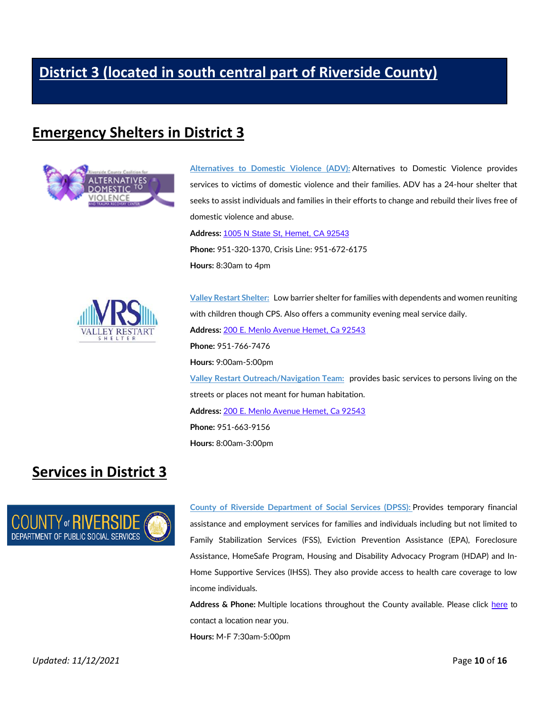# **[District 3 \(located in south central part of Riverside County\)](https://rivcodistrict3.org/)**

#### **Emergency Shelters in District 3**



**[Alternatives](https://alternativestodv.org/) to Domestic Violence (ADV):** Alternatives to Domestic Violence provides services to victims of domestic violence and their families. ADV has a 24-hour shelter that seeks to assist individuals and families in their efforts to change and rebuild their lives free of domestic violence and abuse.

**Address:** [1005 N State St, Hemet, CA 92543](https://goo.gl/maps/g32DHRnRMhXArKdy6) **Phone:** 951-320-1370, Crisis Line: 951-672-6175 **Hours:** 8:30am to 4pm



**Valley Restart [Shelter:](http://valleyrestart.info/)** Low barrier shelter for families with dependents and women reuniting with children though CPS. Also offers a community evening meal service daily. **Address:** [200 E. Menlo Avenue Hemet, Ca 92543](https://goo.gl/maps/TjKUcRyjEoBNZrmT9) **Phone:** 951-766-7476 **Hours:** 9:00am-5:00pm **Valley Restart [Outreach/Navigation](http://valleyrestart.info/) Team:** provides basic services to persons living on the streets or places not meant for human habitation. **Address:** [200 E. Menlo Avenue Hemet, Ca 92543](https://goo.gl/maps/TjKUcRyjEoBNZrmT9) **Phone:** 951-663-9156 **Hours:** 8:00am-3:00pm

#### **Services in District 3**



**County of Riverside [Department](http://dpss.co.riverside.ca.us/index) of Social Services (DPSS):** Provides temporary financial assistance and employment services for families and individuals including but not limited to Family Stabilization Services (FSS), Eviction Prevention Assistance (EPA), Foreclosure Assistance, HomeSafe Program, Housing and Disability Advocacy Program (HDAP) and In-Home Supportive Services (IHSS). They also provide access to health care coverage to low income individuals.

**Address & Phone:** Multiple locations throughout the County available. Please click [here](http://dpss.co.riverside.ca.us/office-locations) to contact a location near you. **Hours:** M-F 7:30am-5:00pm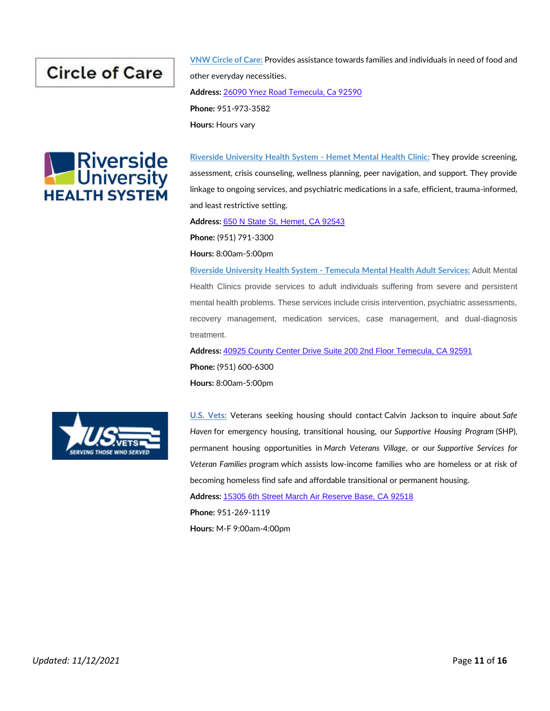# **Circle of Care**





**Riverside [University](https://www.rcdmh.org/Adult-services) Health System - Hemet Mental Health Clinic:** They provide screening, assessment, crisis counseling, wellness planning, peer navigation, and support. They provide linkage to ongoing services, and psychiatric medications in a safe, efficient, trauma-informed, and least restrictive setting.

**Address:** [650 N State St, Hemet, CA 92543](https://goo.gl/maps/bgqsGkfXDLdc4drAA)

**Phone:** (951) 791-3300

**Hours:** 8:00am-5:00pm

**Riverside [University](https://www.rcdmh.org/Adult-services) Health System - Temecula Mental Health Adult Services:** Adult Mental Health Clinics provide services to adult individuals suffering from severe and persistent mental health problems. These services include crisis intervention, psychiatric assessments, recovery management, medication services, case management, and dual-diagnosis treatment.

**Address:** [40925 County Center Drive Suite 200 2nd Floor Temecula, CA 92591](https://goo.gl/maps/RULQZCrFpob5sE9K9) **Phone:** (951) 600-6300 **Hours:** 8:00am-5:00pm



**U.S. [Vets:](https://usvets.org/locations/inland-empire/)** Veterans seeking housing should contact Calvin Jackson to inquire about *Safe Haven* for emergency housing, transitional housing, our *Supportive Housing Program* (SHP), permanent housing opportunities in *March Veterans Village*, or our *Supportive Services for Veteran Families* program which assists low-income families who are homeless or at risk of becoming homeless find safe and affordable transitional or permanent housing.

**Address:** [15305 6th Street March Air Reserve Base, CA 92518](https://g.page/USVETSIE?share)

**Phone:** 951-269-1119

**Hours:** M-F 9:00am-4:00pm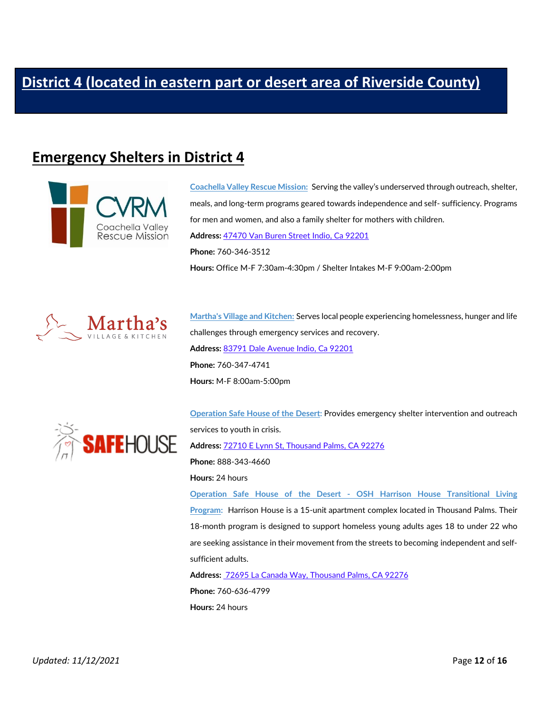#### **Emergency Shelters in District 4**



**[Coachella](https://www.cvrm.org/) Valley Rescue Mission:** Serving the valley's underserved through outreach, shelter, meals, and long-term programs geared towards independence and self- sufficiency. Programs for men and women, and also a family shelter for mothers with children. **Address:** [47470 Van Buren Street Indio, Ca 92201](https://goo.gl/maps/Zi8T1uk5kkReeaGJA) **Phone:** 760-346-3512 **Hours:** Office M-F 7:30am-4:30pm / Shelter Intakes M-F 9:00am-2:00pm



**[Martha's](https://marthasvillage.org/) Village and Kitchen:** Serves local people experiencing homelessness, hunger and life [c](https://marthasvillage.org/)hallenges through emergency services and recovery. **Address:** [83791 Dale Avenue Indio, Ca 92201](https://goo.gl/maps/M4ZeEb6fya5qBTQT8) **Phone:** 760-347-4741 **Hours:** M-F 8:00am-5:00pm



**[Operation](https://safehouseofthedesert.com/) Safe House of the Desert:** Provides emergency shelter intervention and outreach services to youth in crisis. **Address:** [72710 E Lynn St, Thousand Palms, CA 92276](https://goo.gl/maps/bZ8MzbYNAtW75G319)

**Phone:** 888-343-4660

**Hours:** 24 hours

**Operation Safe House of the Desert - OSH Harrison House [Transitional](https://safehouseofthedesert.com/thousand-palms-tlp/) Living [Program:](https://safehouseofthedesert.com/thousand-palms-tlp/)** Harrison House is a 15-unit apartment complex located in Thousand Palms. Their 18-month program is designed to support homeless young adults ages 18 to under 22 who are seeking assistance in their movement from the streets to becoming independent and selfsufficient adults.

**Address:** [72695 La Canada Way, Thousand Palms, CA 92276](https://goo.gl/maps/pog8bUov4Sbn63cS8) **Phone:** 760-636-4799 **Hours:** 24 hours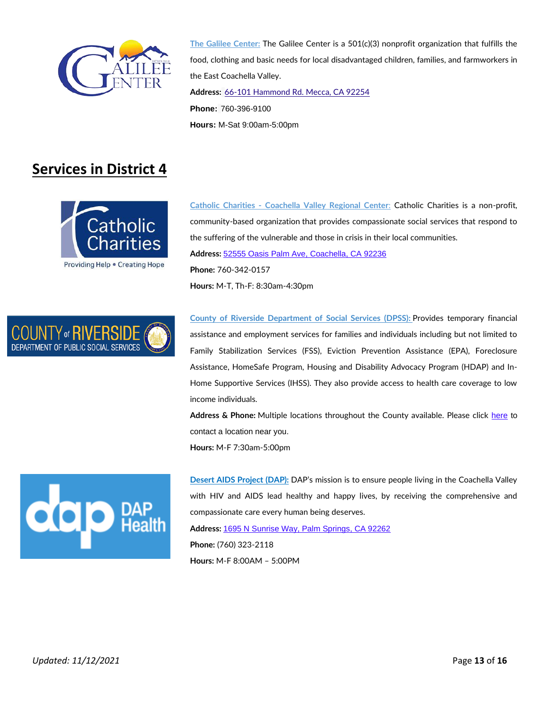

**[The Galilee Center:](https://galileecenter.org/)** The Galilee Center is a 501(c)(3) nonprofit organization that fulfills the food, clothing and basic needs for local disadvantaged children, families, and farmworkers in the East Coachella Valley. **Address:** [66-101 Hammond Rd. Mecca, CA 92254](https://goo.gl/maps/2RdWv3eojaM91Bv38) **Phone:** 760-396-9100 **Hours:** M-Sat 9:00am-5:00pm

#### **Services in District 4**



**Catholic Charities - [Coachella Valley Regional Center](https://ccsbriv.org/)**: Catholic Charities is a non-profit, community-based organization that provides compassionate social services that respond to the suffering of the vulnerable and those in crisis in their local communities. **Address:** [52555 Oasis Palm Ave, Coachella, CA 92236](https://goo.gl/maps/mjL66nD6XHnWXdAT9) **Phone:** 760-342-0157 **Hours:** M-T, Th-F: 8:30am-4:30pm



**County of Riverside [Department](http://dpss.co.riverside.ca.us/index) of Social Services (DPSS):** Provides temporary financial assistance and employment services for families and individuals including but not limited to Family Stabilization Services (FSS), Eviction Prevention Assistance (EPA), Foreclosure Assistance, HomeSafe Program, Housing and Disability Advocacy Program (HDAP) and In-Home Supportive Services (IHSS). They also provide access to health care coverage to low income individuals.

**Address & Phone:** Multiple locations throughout the County available. Please click [here](http://dpss.co.riverside.ca.us/office-locations) to contact a location near you. **Hours:** M-F 7:30am-5:00pm



**[Desert AIDS Project \(DAP\):](https://www.daphealth.org/)** DAP's mission is to ensure people living in the Coachella Valley with HIV and AIDS lead healthy and happy lives, by receiving the comprehensive and compassionate care every human being deserves. **Address:** [1695 N Sunrise Way, Palm Springs, CA 92262](https://g.page/DesertAIDSProject?share) **Phone:** (760) 323-2118 **Hours:** M-F 8:00AM – 5:00PM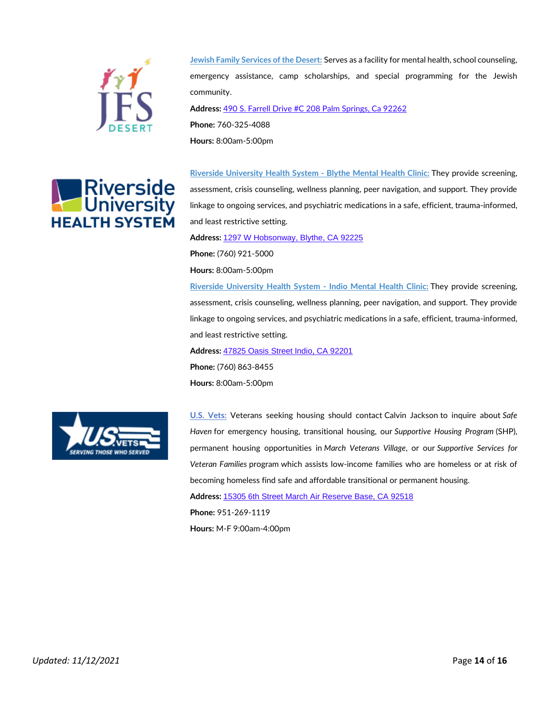



**Jewish Family [Services](https://jfsdesert.org/) of the Desert:** Serves as a facility for mental health, school counseling, emergency assistance, camp scholarships, and special programming for the Jewish community. **Address:** [490 S. Farrell Drive #C 208 Palm Springs, Ca 92262](https://goo.gl/maps/A8Rbner4smYH5rc3A)

**Phone:** 760-325-4088

**Hours:** 8:00am-5:00pm

**Riverside [University](https://www.rcdmh.org/Adult-services) Health System - Blythe Mental Health Clinic:** They provide screening, assessment, crisis counseling, wellness planning, peer navigation, and support. They provide linkage to ongoing services, and psychiatric medications in a safe, efficient, trauma-informed, and least restrictive setting.

**Address:** [1297 W Hobsonway, Blythe, CA 92225](https://goo.gl/maps/P89mog2a6WbanyfAA)

**Phone:** (760) 921-5000

**Hours:** 8:00am-5:00pm

**Riverside [University](https://www.rcdmh.org/Adult-services) Health System - Indio Mental Health Clinic:** They provide screening, assessment, crisis counseling, wellness planning, peer navigation, and support. They provide linkage to ongoing services, and psychiatric medications in a safe, efficient, trauma-informed, and least restrictive setting.

**Address:** [47825 Oasis Street Indio, CA 92201](https://goo.gl/maps/BYQrk5PaFh9wj66B9)

**Phone:** (760) 863-8455 **Hours:** 8:00am-5:00pm



**U.S. [Vets:](https://usvets.org/locations/inland-empire/)** Veterans seeking housing should contact Calvin Jackson to inquire about *Safe Haven* for emergency housing, transitional housing, our *Supportive Housing Program* (SHP), permanent housing opportunities in *March Veterans Village*, or our *Supportive Services for Veteran Families* program which assists low-income families who are homeless or at risk of becoming homeless find safe and affordable transitional or permanent housing.

**Address:** [15305 6th Street March Air Reserve Base, CA 92518](https://g.page/USVETSIE?share)

**Phone:** 951-269-1119

**Hours:** M-F 9:00am-4:00pm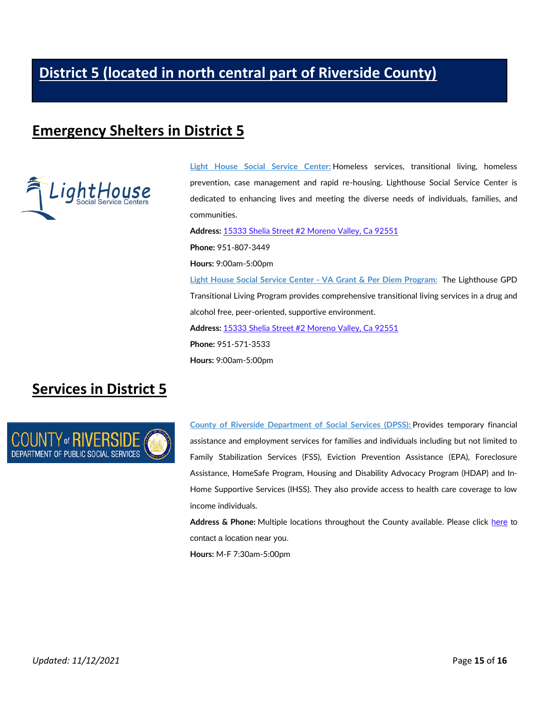# **[District 5 \(located in north central part of Riverside County\)](https://supervisorjeffhewitt.com/)**

#### **Emergency Shelters in District 5**



**Light House Social Service [Center:](https://lighthouse-ssc.org/)** Homeless services, transitional living, homeless prevention, case management and rapid re-housing. Lighthouse Social Service Center is dedicated to enhancing lives and meeting the diverse needs of individuals, families, and communities.

**Address:** [15333 Shelia Street #2 Moreno Valley, Ca 92551](https://goo.gl/maps/cSCTaVhtpcjKoQev8) **Phone:** 951-807-3449 **Hours:** 9:00am-5:00pm **Light House Social Service Center - VA Grant & Per Diem [Program:](https://lighthouse-ssc.org/)** The Lighthouse GPD Transitional Living Program provides comprehensive transitional living services in a drug and alcohol free, peer-oriented, supportive environment. **Address:** [15333 Shelia Street #2 Moreno Valley, Ca 92551](https://goo.gl/maps/cSCTaVhtpcjKoQev8) **Phone:** 951-571-3533 **Hours:** 9:00am-5:00pm

#### **Services in District 5**



**County of Riverside [Department](http://dpss.co.riverside.ca.us/index) of Social Services (DPSS):** Provides temporary financial assistance and employment services for families and individuals including but not limited to Family Stabilization Services (FSS), Eviction Prevention Assistance (EPA), Foreclosure Assistance, HomeSafe Program, Housing and Disability Advocacy Program (HDAP) and In-Home Supportive Services (IHSS). They also provide access to health care coverage to low income individuals.

**Address & Phone:** Multiple locations throughout the County available. Please click [here](http://dpss.co.riverside.ca.us/office-locations) to contact a location near you.

**Hours:** M-F 7:30am-5:00pm